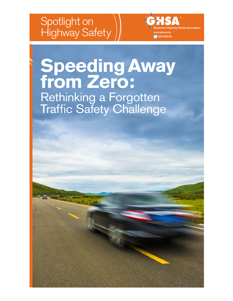## <span id="page-0-0"></span>Spotlight on Highway Safety

**Safety Association**

by **Tara Casanova Powell** 

**Principal, Casanova Powell Consulting**

Governors Highway Safety Association www.ghsa.org @GHSAHQ

# **Speeding Away from Zero:** Rethinking a Forgotten Traffic Safety Challenge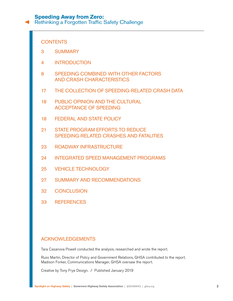[Rethinking a Forgotten Traffic Safety Challenge](#page-0-0)

## **CONTENTS**

- 3 [SUMMARY](#page-2-0)
- 4 [INTRODUCTION](#page-3-0)
- 8 [SPEEDING COMBINED WITH OTHER FACTORS](#page-7-0)  [AND CRASH CHARACTERISTICS](#page-7-0)
- 17 [THE COLLECTION OF SPEEDING-RELATED CRASH DATA](#page-16-0)
- 18 [PUBLIC OPINION AND THE CULTURAL](#page-17-0)  [ACCEPTANCE OF SPEEDING](#page-17-0)
- 18 [FEDERAL AND STATE POLICY](#page-17-0)
- 21 [STATE PROGRAM EFFORTS TO REDUCE](#page-20-0)  [SPEEDING-RELATED CRASHES AND FATALITIES](#page-20-0)
- 23 [ROADWAY INFRASTRUCTURE](#page-22-0)
- 24 [INTEGRATED SPEED MANAGEMENT PROGRAMS](#page-23-0)
- 25 [VEHICLE TECHNOLOGY](#page-24-0)
- 27 [SUMMARY AND RECOMMENDATIONS](#page-26-0)
- 32 [CONCLUSION](#page-31-0)
- 33 [REFERENCES](#page-32-0)

## ACKNOWLEDGEMENTS

Tara Casanova Powell conducted the analysis, researched and wrote the report.

Russ Martin, Director of Policy and Government Relations, GHSA contributed to the report. Madison Forker, Communications Manager, GHSA oversaw the report.

Creative by Tony Frye Design. / Published January 2019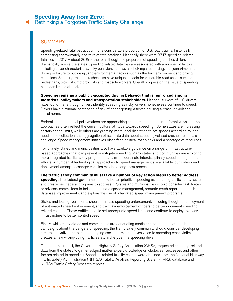## <span id="page-2-0"></span>**SUMMARY**

Speeding-related fatalities account for a considerable proportion of U.S. road trauma, historically comprising approximately one-third of total fatalities. Nationally, there were 9,717 speeding-related fatalities in 2017 – about 26% of the total, though the proportion of speeding crashes differs dramatically across the states. Speeding-related fatalities are associated with a number of factors, including driver characteristics, risky behaviors such as alcohol-impaired driving, marijuana-impaired driving or failure to buckle up, and environmental factors such as the built environment and driving conditions. Speeding-related crashes also have unique impacts for vulnerable road users, such as pedestrians, bicyclists, motorcyclists and roadside workers. Overall progress on the issue of speeding has been limited at best.

**Speeding remains a publicly-accepted driving behavior that is reinforced among motorists, policymakers and transportation stakeholders.** National surveys of U.S. drivers have found that although drivers identify speeding as risky, drivers nonetheless continue to speed. Drivers have a minimal perception of risk of either getting a ticket, causing a crash, or violating social norms.

Federal, state and local policymakers are approaching speed management in different ways, but these approaches often reflect the current cultural attitude towards speeding. Some states are increasing certain speed limits, while others are granting more local discretion to set speeds according to local needs. The collection and aggregation of accurate data about speeding-related crashes remains a challenge. Speed management initiatives often face political roadblocks and a shortage of resources.

Fortunately, states and municipalities also have available guidance on a range of infrastructurebased approaches that can prevent or mitigate speeding. Many states and communities are exploring more integrated traffic safety programs that aim to coordinate interdisciplinary speed management efforts. A number of technological approaches to speed management are available, but widespread deployment among passenger vehicles may be a long-term process.

**The traffic safety community must take a number of key action steps to better address**  speeding. The federal government should better prioritize speeding as a leading traffic safety issue and create new federal programs to address it. States and municipalities should consider task forces or advisory committees to better coordinate speed management, promote crash report and crash database improvements, and explore the use of integrated speed management programs.

States and local governments should increase speeding enforcement, including thoughtful deployment of automated speed enforcement, and train law enforcement officers to better document speedingrelated crashes. These entities should set appropriate speed limits and continue to deploy roadway infrastructure to better control speed.

Finally, while many states and communities are conducting media and educational outreach campaigns about the dangers of speeding, the traffic safety community should consider developing a more innovative approach to changing social norms that gives voice to speeding crash victims and creates a new wrong-doing traffic safety archetype: the speeding driver.

To create this report, the Governors Highway Safety Association (GHSA) requested speeding-related data from the states to gather subject matter expert knowledge on obstacles, successes and other factors related to speeding. Speeding-related fatality counts were obtained from the National Highway Traffic Safety Administration (NHTSA) Fatality Analysis Reporting System (FARS) database and NHTSA Traffic Safety Research reports.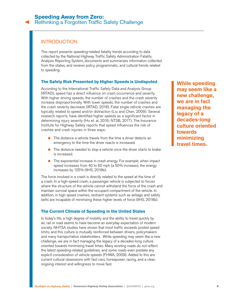## <span id="page-3-0"></span>**INTRODUCTION**

This report presents speeding-related fatality trends according to data collected by the National Highway Traffic Safety Administration Fatality Analysis Reporting System, documents and summarizes information collected from the states, and reviews policy, programmatic, and cultural trends related to speeding.

#### **The Safety Risk Presented by Higher Speeds is Undisputed**

According to the International Traffic Safety Data and Analysis Group (IRTAD), speed has a direct influence on crash occurrence and severity. With higher driving speeds, the number of crashes and the crash severity increase disproportionally. With lower speeds, the number of crashes and the crash severity decrease (IRTAD, 2018). Fatal single vehicle crashes are typically related to speed and/or distraction (Liu and Chen, 2009). Several research reports, have identified higher speeds as a significant factor in determining injury severity (Hu et. al, 2016; NTSB, 2017). The Insurance Institute for Highway Safety reports that speed influences the risk of crashes and crash injuries in three ways:

- The distance a vehicle travels from the time a driver detects an emergency to the time the driver reacts is increased.
- The distance needed to stop a vehicle once the driver starts to brake is increased.
- The exponential increase in crash energy. For example, when impact speed increases from 40 to 60 mph (a 50% increase), the energy increases by 125% (IIHS, 2018b).

The force involved in a crash is directly related to the speed at the time of a crash. In a high-speed crash, a passenger vehicle is subjected to forces where the structure of the vehicle cannot withstand the force of the crash and maintain survival space within the occupant compartment of the vehicle. In addition, in high speed crashes, restraint systems such as airbags and safety belts are incapable of minimizing these higher levels of force (IIHS, 2018b).

#### **The Current Climate of Speeding in the United States**

In today's life, a high degree of mobility and the ability to travel quickly by air, rail or road seems to have become an everyday expectation of modern society. NHTSA studies have shown that most traffic exceeds posted speed limits, and this culture is mutually reinforced between drivers, policymakers and many transportation stakeholders. While speeding may seem like a new challenge, we are in fact managing the legacy of a decades-long culture oriented towards minimizing travel times. Many existing roads do not reflect the latest speeding-related guidelines, and some roads even predate any explicit consideration of vehicle speeds (FHWA, 2009). Added to this are current cultural obsessions with fast cars, horsepower, racing, and a clear, ongoing interest and willingness to move fast.

**While speeding may seem like a new challenge, we are in fact managing the legacy of a decades-long culture oriented towards minimizing travel times.**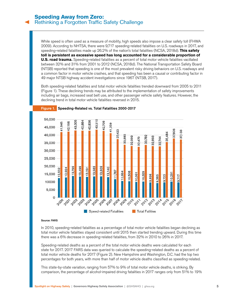While speed is often used as a measure of mobility, high speeds also impose a clear safety toll (FHWA 2009). According to NHTSA, there were 9,717 speeding-related fatalities on U.S. roadways in 2017, and speeding-related fatalities made up 26.2% of the nation's total fatalities (NCSA, 2018d). **This safety toll is persistent as excessive speed has long accounted for a considerable proportion of U.S. road trauma.** Speeding-related fatalities as a percent of total motor vehicle fatalities vacillated between 32% and 31% from 2001 to 2012 (NCSA, 2018d). The National Transportation Safety Board (NTSB) reported that speeding is one of the most prevalent risky driving behaviors on U.S. roadways and a common factor in motor vehicle crashes, and that speeding has been a causal or contributing factor in 49 major NTSB highway accident investigations since 1967 (NTSB, 2017).

Both speeding-related fatalities and total motor vehicle fatalities trended downward from 2005 to 2011 (Figure 1). These declining trends may be attributed to the implementation of safety improvements including air bags, increased seat belt use, and other passenger vehicle safety features. However, the declining trend in total motor vehicle fatalities reversed in 2015.



#### Figure 1. Speeding-Related vs. Total Fatalities 2000-2017

#### Source: FARS

In 2010, speeding-related fatalities as a percentage of total motor vehicle fatalities began declining as total motor vehicle fatalities stayed consistent until 2015 then started trending upward. During this time there was a 6% decrease in speeding-related fatalities, from 32% in 2010 to 26% in 2017.

Speeding-related deaths as a percent of the total motor vehicle deaths were calculated for each state for 2017. 2017 FARS data was queried to calculate the speeding-related deaths as a percent of total motor vehicle deaths for 2017 (Figure 2). New Hampshire and Washington, D.C. had the top two percentages for both years, with more than half of motor vehicle deaths classified as speeding-related.

This state-by-state variation, ranging from 57% to 9% of total motor vehicle deaths, is striking. By comparison, the percentage of alcohol-impaired driving fatalities in 2017 ranges only from 51% to 19%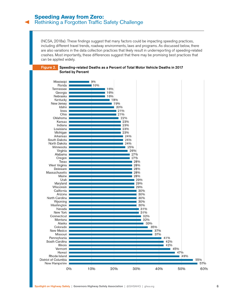(NCSA, 2018a). These findings suggest that many factors could be impacting speeding practices, including different travel trends, roadway environments, laws and programs. As discussed below, there are also variations in the data collection practices that likely result in underreporting of speeding-related crashes. Most importantly, these differences suggest that there may be promising best practices that can be applied widely.



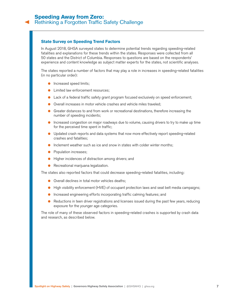#### **State Survey on Speeding Trend Factors**

In August 2018, GHSA surveyed states to determine potential trends regarding speeding-related fatalities and explanations for these trends within the states. Responses were collected from all 50 states and the District of Columbia. Responses to questions are based on the respondents' experience and content knowledge as subject matter experts for the states, not scientific analyses.

The states reported a number of factors that may play a role in increases in speeding-related fatalities (in no particular order):

- **•** Increased speed limits;
- Limited law enforcement resources;
- Lack of a federal traffic safety grant program focused exclusively on speed enforcement;
- Overall increases in motor vehicle crashes and vehicle miles traveled;
- Greater distances to and from work or recreational destinations, therefore increasing the number of speeding incidents;
- Increased congestion on major roadways due to volume, causing drivers to try to make up time for the perceived time spent in traffic;
- Updated crash reports and data systems that now more effectively report speeding-related crashes and fatalities;
- Inclement weather such as ice and snow in states with colder winter months;
- Population increases;
- Higher incidences of distraction among drivers; and
- Recreational marijuana legalization.

The states also reported factors that could decrease speeding-related fatalities, including:

- Overall declines in total motor vehicles deaths;
- High visibility enforcement (HVE) of occupant protection laws and seat belt media campaigns;
- Increased engineering efforts incorporating traffic calming features; and
- Reductions in teen driver registrations and licenses issued during the past few years, reducing exposure for the younger age categories.

The role of many of these observed factors in speeding-related crashes is supported by crash data and research, as described below.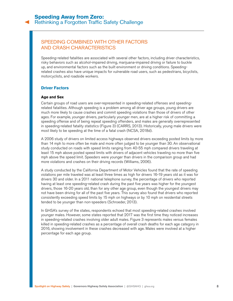## <span id="page-7-0"></span>SPEEDING COMBINED WITH OTHER FACTORS AND CRASH CHARACTERISTICS

Speeding-related fatalities are associated with several other factors, including driver characteristics, risky behaviors such as alcohol-impaired driving, marijuana-impaired driving or failure to buckle up, and environmental factors such as the built environment or driving conditions. Speedingrelated crashes also have unique impacts for vulnerable road users, such as pedestrians, bicyclists, motorcyclists, and roadside workers.

#### **Driver Factors**

#### **Age and Sex**

Certain groups of road users are over-represented in speeding-related offenses and speedingrelated fatalities. Although speeding is a problem among all driver age groups, young drivers are much more likely to cause crashes and commit speeding violations than those of drivers of other ages. For example, younger drivers, particularly younger men, are at a higher risk of committing a speeding offense and of being repeat speeding offenders, and males are generally overrepresented in speeding-related fatality statistics (Figure 3) (CARRS, 2013). Historically, young male drivers were most likely to be speeding at the time of a fatal crash (NCSA, 2018d).

A 2006 study of drivers on limited access highways observed drivers exceeding posted limits by more than 14 mph to more often be male and more often judged to be younger than 30. An observational study conducted on roads with speed limits ranging from 40-55 mph compared drivers traveling at least 15 mph above posted speed limits with drivers of adjacent vehicles traveling no more than five mph above the speed limit. Speeders were younger than drivers in the comparison group and had more violations and crashes on their driving records (Williams, 2006).

A study conducted by the California Department of Motor Vehicles found that the rate of speeding violations per mile traveled was at least three times as high for drivers 16-19 years old as it was for drivers 30 and older. In a 2011 national telephone survey, the percentage of drivers who reported having at least one speeding-related crash during the past five years was higher for the youngest drivers, those 16-20 years old, than for any other age group, even though the youngest drivers may not have been driving for all of the past five years. This survey also found that drivers who reported consistently exceeding speed limits by 15 mph on highways or by 10 mph on residential streets tended to be younger than non-speeders (Schroeder, 2013).

In GHSA's survey of the states, respondents echoed that most speeding-related crashes involved younger males. However, some states reported that 2017 was the first time they noticed increases in speeding-related crashes involving older adult males. Figure 3 represents males versus females killed in speeding-related crashes as a percentage of overall crash deaths for each age category in 2016, showing involvement in these crashes decreased with age. Males were involved at a higher percentage for each age group.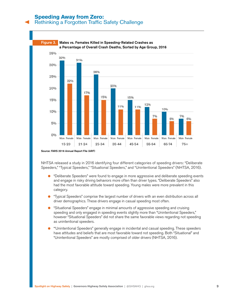## **Speeding Away from Zero:**

## [Rethinking a Forgotten Traffic Safety Challenge](#page-0-0)



Source: FARS 2016 Annual Report File (ARF)

NHTSA released a study in 2016 identifying four different categories of speeding drivers: "Deliberate Speeders," "Typical Speeders," "Situational Speeders," and "Unintentional Speeders" (NHTSA, 2016).

- "Deliberate Speeders" were found to engage in more aggressive and deliberate speeding events and engage in risky driving behaviors more often than driver types. "Deliberate Speeders" also had the most favorable attitude toward speeding. Young males were more prevalent in this category.
- "Typical Speeders" comprise the largest number of drivers with an even distribution across all driver demographics. These drivers engage in casual speeding most often.
- "Situational Speeders" engage in minimal amounts of aggressive speeding and cruising speeding and only engaged in speeding events slightly more than "Unintentional Speeders," however "Situational Speeders" did not share the same favorable views regarding not speeding as unintentional speeders.
- "'Unintentional Speeders" generally engage in incidental and casual speeding. These speeders have attitudes and beliefs that are most favorable toward not speeding. Both "Situational" and "Unintentional Speeders" are mostly comprised of older drivers (NHTSA, 2016).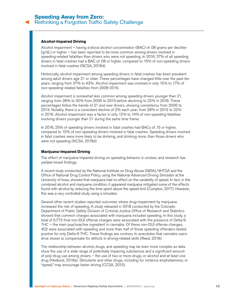#### **Alcohol-Impaired Driving**

Alcohol impairment – having a blood alcohol concentration (BAC) of .08 grams per deciliter  $(q/dL)$  or higher – has been reported to be more common among drivers involved in speeding-related fatalities than drivers who were not speeding. In 2016, 37% of all speeding drivers in fatal crashes had a BAC of .08 or higher, compared to 15% of non-speeding drivers involved in fatal crashes (NCSA, 2018d).

Historically, alcohol impairment among speeding drivers in fatal crashes has been prevalent among adult drivers age 21 or older. These percentages have changed little over the past ten years, ranging from 37% to 43%. Alcohol impairment was involved in only 15% to 17% of non-speeding-related fatalities from 2006-2016.

Alcohol impairment is somewhat less common among speeding drivers younger than 21, ranging from 28% to 30% from 2006 to 2013 before declining to 22% in 2016. These percentages follow the trends of 21 and over drivers, showing consistency from 2006 to 2013. Notably, there is a consistent decline of 2% each year, from 28% in 2013 to 22% in 2016. Alcohol impairment was a factor in only 12% to 14% of non-speeding fatalities involving drivers younger than 21 during the same time frame.

In 2016, 25% of speeding drivers involved in fatal crashes had BACs of .15 or higher, compared to 10% of non-speeding drivers involved in fatal crashes. Speeding drivers involved in fatal crashes were more likely to be drinking, and drinking more, than those drivers who were not speeding (NCSA, 2018d).

#### **Marijuana-Impaired Driving**

The effect of marijuana-impaired driving on speeding behavior is unclear, and research has yielded mixed findings.

A recent study conducted by the National Institute on Drug Abuse (NIDA), NHTSA and the Office of National Drug Control Policy, using the National Advanced Driving Simulator at the University of Iowa, showed that marijuana had no effect on the variability of speed. In fact, in the combined alcohol and marijuana condition, it appeared marijuana mitigated some of the effects found with alcohol by reducing the time spent above the speed limit (Compton, 2017). However, this was a very controlled study using a simulator.

Several other recent studies reported outcomes where drug-impairment by marijuana increased the risk of speeding. A study released in 2018 conducted by the Colorado Department of Public Safety Division of Criminal Justice Office of Research and Statistics showed that common charges associated with marijuana included speeding. In this study, a total of 5,773 final non-DUI offense charges were associated with the presence of Delta-9 THC – the main psychoactive ingredient in cannabis. Of these non-DUI offense changes, 402 were associated with speeding and more than half of those speeding offenders tested positive for only Delta-9 THC. These findings are contrary to anecdotes that cannabis users drive slower to compensate for deficits in driving-related skills (Reed, 2018).

The relationship between alcohol, drugs, and speeding may be even more complex as data show the use of a wide range of potentially impairing substances and a significant amount of poly-drug use among drivers – the use of two or more drugs, or alcohol and at least one drug (Hedlund, 2018a). Stimulants and other drugs, including for instance amphetamines, or "speed," may encourage faster driving (CCSA, 2015).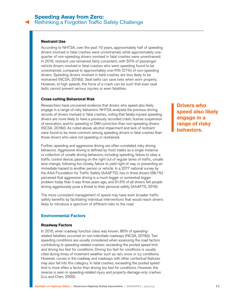#### **Restraint Use**

According to NHTSA, over the past 10 years, approximately half of speeding drivers involved in fatal crashes were unrestrained, while approximately onequarter of non-speeding drivers involved in fatal crashes were unrestrained. In 2016, restraint use remained fairly consistent, with 50% of passenger vehicle drivers involved in fatal crashes who were speeding found to be unrestrained, compared to approximately one-fifth (21%) of non-speeding drivers. Speeding drivers involved in fatal crashes are less likely to be restrained (NCSA, 2018d). Seat belts can save lives when worn properly. However, at high speeds, the force of a crash can be such that even seat belts cannot prevent serious injuries or even fatalities.

#### **Cross-cutting Behavioral Risk**

Researchers have uncovered evidence that drivers who speed also likely engage in a range of risky behaviors. NHTSA analyzed the previous driving records of drivers involved in fatal crashes, noting that fatally-injured speeding drivers are more likely to have a previously recorded crash, license suspension of revocation, and/or speeding or DWI conviction than non-speeding drivers (NCSA, 2018d). As noted above, alcohol impairment and lack of restraint were found to be more common among speeding drivers in fatal crashes than those drivers who were not speeding or restrained.

Further, speeding and aggressive driving are often correlated risky driving behaviors. Aggressive driving is defined by most states as a single instance or collection of unsafe driving behaviors, including speeding, failure to obey a traffic control device, passing on the right out of regular lanes of traffic, unsafe lane change, following too closely, failure to yield right of way, or presenting an immediate hazard to another person or vehicle. In a 2017 national survey by the AAA Foundation for Traffic Safety (AAAFTS), two in three drivers (68.1%) perceived that aggressive driving is a much bigger or somewhat bigger problem today than it was three years ago, and 91.5% of all drivers felt people driving aggressively pose a threat to their personal safety (AAAFTS, 2018).

The more consistent management of speed may have even broader traffic safety benefits by facilitating individual interventions that would reach drivers likely to introduce a spectrum of different risks to the road.

#### **Environmental Factors**

#### **Roadway Factors**

In 2016, when roadway function class was known, 86% of speedingrelated fatalities occurred on non-interstate roadways (NCSA, 2018d). Two speeding conditions are usually considered when assessing the road factors contributing to speeding-related crashes: exceeding the posted speed limit and driving too fast for conditions. Driving too fast for conditions is usually cited during times of inclement weather such as rain, snow or icy conditions. However, curves in the roadway and roadways with other contextual features may also fall into this category. In fatal crashes, exceeding the posted speed limit is more often a factor than driving too fast for conditions. However, the reverse is seen in speeding-related injury and property-damage-only crashes (Liu and Chen, 2009).

**Drivers who speed also likely engage in a range of risky behaviors.**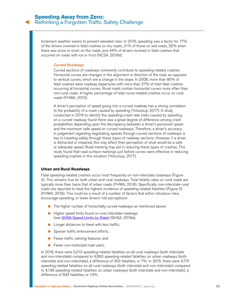Inclement weather seems to present elevated risks. In 2016, speeding was a factor for 17% of the drivers involved in fatal crashes on dry roads, 21% of those on wet roads, 32% when there was snow or slush on the roads, and 44% of drivers involved in fatal crashes that occurred on roads with ice or frost (NCSA, 2018d).

#### *Curved Roadways*

Curved sections of roadways commonly contribute to speeding-related crashes. Horizontal curves are changes in the alignment or direction of the road, as opposed to vertical curves, which are a change in the slope. In 2008, more than 80% of fatal crashes were roadway departures with more than 27% of total fatal crashes occurring at horizontal curves. Rural roads contain horizontal curves more often than non-rural roads. A higher percentage of fatal curve-related crashes occur on rural roads (FHWA, 2010).

A driver's perception of speed going into a curved roadway has a strong correlation to the probability of a crash caused by speeding (Yotsutsuji, 2017). A study conducted in 2016 to identify the speeding-crash rate index caused by speeding on a curved roadway found there was a great degree of difference among crash probabilities depending upon the discrepancy between a driver's perceived speed and the maximum safe speed on curved roadways. Therefore, a driver's accuracy in judgement regarding negotiating speeds through curved sections of roadways is key to traveling safely through these types of roadway sections. However, if a driver is distracted or impaired, this may affect their perception of what would be a safe or adequate speed. Road marking may aid in reducing these types of crashes. This study found that road surface markings just before curves were effective in reducing speeding crashes in this situation (Yotsutsuji, 2017).

#### **Urban and Rural Roadways**

Fatal speeding-related crashes occur most frequently on non-interstate roadways (Figure 4). This remains true for both urban and rural roadways. Total fatality rates on rural roads are typically more than twice that of urban roads (FHWA, 2018). Specifically, non-interstate rural roads are reported to have the highest incidence of speeding-related fatalities (Figure 5) (FHWA, 2018). This could be a result of a number of factors that either introduce risks, encourage speeding, or lower drivers' risk perceptions:

- The higher number of horizontally curved roadways as mentioned above;
- Higher speed limits found on rural interstate roadways (see **[GHSA Speed Limits by State](https://www.ghsa.org/state-laws/issues/speeding-and-aggressive-driving)**) (GHSA, 2018a);
- Longer distances to travel with less traffic;
- Sparser traffic enforcement efforts;
- Fewer traffic calming features; and
- Fewer non-motorized road users.

In 2016, there were 5,013 speeding-related fatalities on all rural roadways (both interstate and non-interstate) compared to 4,660 speeding-related fatalities on urban roadways (both interstate and non-interstate), a difference of 353 fatalities, or 7%. In 2015, there were 4,731 speeding-related fatalities on all rural roadways (both interstate and non-interstate) compared to 4,138 speeding-related fatalities on urban roadways (both interstate and non-interstate), a difference of 593 fatalities, or 13%.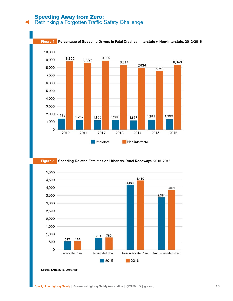## **Speeding Away from Zero:**

[Rethinking a Forgotten Traffic Safety Challenge](#page-0-0)



#### Figure 5. Speeding-Related Fatalities on Urban vs. Rural Roadways, 2015-2016



Source: FARS 2015, 2016 ARF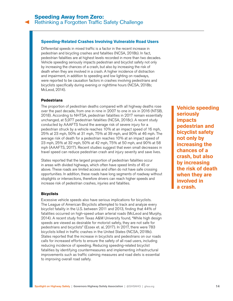#### **Speeding-Related Crashes Involving Vulnerable Road Users**

Differential speeds in mixed traffic is a factor in the recent increase in pedestrian and bicycling crashes and fatalities (NCSA, 2018b). In fact, pedestrian fatalities are at highest levels recorded in more than two decades. Vehicle speeding seriously impacts pedestrian and bicyclist safety not only by increasing the chances of a crash, but also by increasing the risk of death when they are involved in a crash. A higher incidence of distraction and impairment, in addition to speeding and low lighting on roadways, were reported to be causation factors in crashes involving pedestrians and bicyclists specifically during evening or nighttime hours (NCSA, 2018b; McLeod, 2014).

#### **Pedestrians**

The proportion of pedestrian deaths compared with all highway deaths rose over the past decade, from one in nine in 2007 to one in six in 2016 (NTSB, 2018). According to NHTSA, pedestrian fatalities in 2017 remain essentially unchanged, at 5,977 pedestrian fatalities (NCSA, 2018c). A recent study conducted by AAAFTS found the average risk of severe injury for a pedestrian struck by a vehicle reaches 10% at an impact speed of 16 mph, 25% at 23 mph, 50% at 31 mph, 75% at 39 mph, and 90% at 46 mph. The average risk of death for a pedestrian reaches 10% at an impact speed of 23 mph, 25% at 32 mph, 50% at 42 mph, 75% at 50 mph, and 90% at 58 mph (AAAFTS, 2017). Recent studies suggest that even small decreases in travel speed can reduce pedestrian crash and injury severity and save lives.

States reported that the largest proportion of pedestrian fatalities occur in areas with divided highways, which often have speed limits of 45 or above. These roads are limited access and often do not have safe crossing opportunities. In addition, these roads have long segments of roadway without stoplights or intersections, therefore drivers can reach higher speeds and increase risk of pedestrian crashes, injuries and fatalities.

#### **Bicyclists**

Excessive vehicle speeds also have serious implications for bicyclists. The League of American Bicyclists attempted to track and analyze every bicyclist fatality in the U.S. between 2011 and 2013, finding that 44% of fatalities occurred on high-speed urban arterial roads (McLeod and Murphy, 2014). A recent study from Texas A&M University found, "While high design speeds are viewed as desirable for motorist safety, they are not safe for pedestrians and bicyclists" (Essex et. al, 2017). In 2017, there were 783 bicyclists killed in traffic crashes in the United States (NCSA, 2018b). States reported that the increase in bicyclists and pedestrians on our roads calls for increased efforts to ensure the safety of all road users, including reducing incidence of speeding. Reducing speeding-related bicyclist fatalities by identifying countermeasures and implementing infrastructural improvements such as traffic calming measures and road diets is essential to improving overall road safety.

**Vehicle speeding seriously impacts pedestrian and bicyclist safety not only by increasing the chances of a crash, but also by increasing the risk of death when they are involved in a crash.**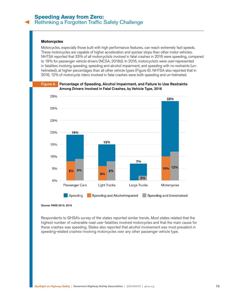#### **Motorcycles**

Motorcycles, especially those built with high performance features, can reach extremely fast speeds. These motorcycles are capable of higher acceleration and quicker stops than other motor vehicles. NHTSA reported that 33% of all motorcyclists involved in fatal crashes in 2016 were speeding, compared to 19% for passenger vehicle drivers (NCSA, 2018d). In 2016, motorcyclists were over-represented in fatalities involving speeding, speeding and alcohol impairment, and speeding with no restraints (unhelmeted), at higher percentages than all other vehicle types (Figure 6). NHTSA also reported that in 2016, 12% of motorcycle riders involved in fatal crashes were both speeding and un-helmeted.



#### Figure 6.Percentage of Speeding, Alcohol Impairment, and Failure to Use Restraints Among Drivers Involved in Fatal Crashes, by Vehicle Type, 2016

Source: FARS 2015, 2016

Respondents to GHSA's survey of the states reported similar trends. Most states related that the highest number of vulnerable road user fatalities involved motorcycles and that the main cause for these crashes was speeding. States also reported that alcohol involvement was most prevalent in speeding-related crashes involving motorcycles over any other passenger vehicle type.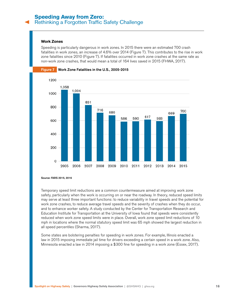#### **Work Zones**

Speeding is particularly dangerous in work zones. In 2015 there were an estimated 700 crash fatalities in work zones, an increase of 4.6% over 2014 (Figure 7). This contributes to the rise in work zone fatalities since 2010 (Figure 7). If fatalities occurred in work zone crashes at the same rate as non-work zone crashes, that would mean a total of 164 lives saved in 2015 (FHWA, 2017).



Source: FARS 2015, 2016

Temporary speed limit reductions are a common countermeasure aimed at improving work zone safety, particularly when the work is occurring on or near the roadway. In theory, reduced speed limits may serve at least three important functions: to reduce variability in travel speeds and the potential for work zone crashes, to reduce average travel speeds and the severity of crashes when they do occur, and to enhance worker safety. A study conducted by the Center for Transportation Research and Education Institute for Transportation at the University of Iowa found that speeds were consistently reduced when work zone speed limits were in place. Overall, work zone speed limit reductions of 10 mph in locations where the normal statutory speed limit was 65 mph showed the largest reduction in all speed percentiles (Sharma, 2017).

Some states are bolstering penalties for speeding in work zones. For example, Illinois enacted a law in 2015 imposing immediate jail time for drivers exceeding a certain speed in a work zone. Also, Minnesota enacted a law in 2014 imposing a \$300 fine for speeding in a work zone (Essex, 2017).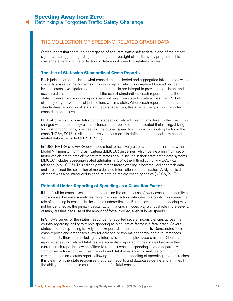## <span id="page-16-0"></span>THE COLLECTION OF SPEEDING-RELATED CRASH DATA

States report that thorough aggregation of accurate traffic safety data is one of their most significant struggles regarding monitoring and oversight of traffic safety programs. This challenge extends to the collection of data about speeding-related crashes.

#### **The Use of Statewide Standardized Crash Reports**

Each jurisdiction establishes what crash data is collected and aggregated into the statewide crash database by the contents of its crash report, which is completed for each incident by local crash investigators. Uniform crash reports are integral to providing consistent and accurate data, and most states report the use of standardized crash reports across the state. However, some crash reports vary not only from state to state across the U.S. but also may vary between local jurisdictions within a state. When crash report elements are not standardized among local, state and federal agencies, this affects the quality of reported crash data on all levels.

NHTSA offers a uniform definition of a speeding-related crash: if any driver in the crash was charged with a speeding-related offense, or if a police officer indicated that racing, driving too fast for conditions, or exceeding the posted speed limit was a contributing factor in the crash (NCSA, 2018d). All states have variations on this definition that impact how speedingrelated data is recorded (NTSB, 2017).

In 1988, NHTSA and GHSA developed a tool to achieve greater crash report uniformity, the Model Minimum Uniform Crash Criteria (MMUCC) guidelines, which define a minimum set of motor vehicle crash data elements that states should include in their state crash data systems. MMUCC includes speeding-related attributes. In 2017, the fifth edition of MMUCC was released (MMUCC 5). This edition gave states more flexibility in how they collect crash data and streamlined the collection of more detailed information on fatal crashes. A "dynamic data element" was also introduced to capture data on rapidly-changing topics (NCSA, 2017).

#### **Potential Under-Reporting of Speeding as a Causation Factor**

It is difficult for crash investigators to determine the exact cause of every crash, or to identify a single cause, because sometimes more than one factor contributes to a crash. This means the role of speeding in crashes is likely to be underestimated. Further, even though speeding may not be identified as the primary causal factor in a crash, it does play a critical role in the severity of many crashes because of the amount of force involved, even at lower speeds.

In GHSA's survey of the states, respondents reported several inconsistencies across the country regarding ability to report speeding as a causative factor in a fatal crash. Several states said that speeding is likely under-reported in their crash reports. Some noted their crash reports and databases allow for only one or two major contributing circumstances for the crash, therefore excluding key information for multiple-cause crashes. Other states reported speeding-related fatalities are accurately reported in their states because their current crash reports allow an officer to report a crash as speeding-related separately from driver actions, or their crash reports and databases allow for multiple contributing circumstances on a crash report, allowing for accurate reporting of speeding-related crashes. It is clear from the state responses that crash reports and databases define and at times limit the ability to add multiple causation factors for fatal crashes.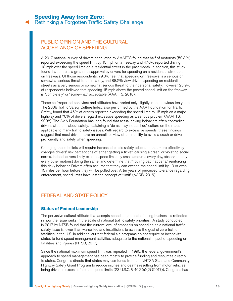## <span id="page-17-0"></span>PUBLIC OPINION AND THE CULTURAL ACCEPTANCE OF SPEEDING

A 2017 national survey of drivers conducted by AAAFTS found that half of motorists (50.3%) reported exceeding the speed limit by 15 mph on a freeway and 47.6% reported driving 10 mph over the speed limit on a residential street in the past month. In addition, this study found that there is a greater disapproval by drivers for speeding on a residential street than on freeways. Of those respondents, 79.3% feel that speeding on freeways is a serious or somewhat serious threat to their safety, and 88.2% view drivers speeding on residential streets as a very serious or somewhat serious threat to their personal safety. However, 23.9% of respondents believed that speeding 15 mph above the posted speed limit on the freeway is "completely" or "somewhat" acceptable (AAAFTS, 2018).

These self-reported behaviors and attitudes have varied only slightly in the previous ten years. The 2008 Traffic Safety Culture Index, also performed by the AAA Foundation for Traffic Safety, found that 45% of drivers reported exceeding the speed limit by 15 mph on a major highway and 76% of drivers regard excessive speeding as a serious problem (AAAFTS, 2008). The AAA Foundation has long found that actual driving behaviors often contradict drivers' attitudes about safety, sustaining a "do as I say, not as I do" culture on the roads applicable to many traffic safety issues. With regard to excessive speeds, these findings suggest that most drivers have an unrealistic view of their ability to avoid a crash or drive proficiently and safely when speeding.

Changing these beliefs will require increased public safety education that more effectively changes drivers' risk perceptions of either getting a ticket, causing a crash, or violating social norms. Indeed, drivers likely exceed speed limits by small amounts every day, observe nearly every other motorist doing the same, and determine that "nothing bad happens," reinforcing this risky behavior. Drivers often assume that they can exceed the speed limit by 10 or even 15 miles per hour before they will be pulled over. After years of perceived tolerance regarding enforcement, speed limits have lost the concept of "limit" (AARB, 2016).

## FEDERAL AND STATE POLICY

#### **Status of Federal Leadership**

The pervasive cultural attitude that accepts speed as the cost of doing business is reflected in how the issue ranks in the scale of national traffic safety priorities. A study conducted in 2017 by NTSB found that the current level of emphasis on speeding as a national traffic safety issue is lower than warranted and insufficient to achieve the goal of zero traffic fatalities in the U.S. In addition, current federal aid programs do not require or incentivize states to fund speed management activities adequate to the national impact of speeding on fatalities and injuries (NTSB, 2017).

Since the national maximum speed limit was repealed in 1995, the federal government's approach to speed management has been mostly to provide funding and resources directly to states. Congress directs that states may use funds from the NHTSA State and Community Highway Safety Grant Program to reduce injuries and deaths resulting from motor vehicles being driven in excess of posted speed limits (23 U.S.C. § 402 (a)(2) (2017)). Congress has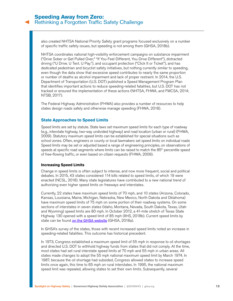also created NHTSA National Priority Safety grant programs focused exclusively on a number of specific traffic safety issues, but speeding is not among them (GHSA, 2018b).

NHTSA coordinates national high-visibility enforcement campaigns on substance impairment ("Drive Sober or Get Pulled Over;" "If You Feel Different, You Drive Different"), distracted driving ("U Drive. U Text. U Pay."), and occupant protection ("Click It or Ticket"), and has dedicated pedestrian and bicyclist safety initiatives, but nothing currently similar to speeding, even though the data show that excessive speed contributes to nearly the same proportion or number of deaths as alcohol impairment and lack of proper restraint. In 2014, the U.S. Department of Transportation (U.S. DOT) published a Speed Management Program Plan that identifies important actions to reduce speeding-related fatalities, but U.S. DOT has not tracked or ensured the implementation of these actions (NHTSA, FHWA, and FMCSA, 2014; NTSB, 2017).

The Federal Highway Administration (FHWA) also provides a number of resources to help states design roads safely and otherwise manage speeding (FHWA, 2018).

#### **State Approaches to Speed Limits**

Speed limits are set by statute. State laws set maximum speed limits for each type of roadway (e.g., interstate highway, two-way undivided highway) and road location (urban or rural) (FHWA, 2009). Statutory maximum speed limits can be established for special situations such as school zones. Often, engineers or county or local lawmakers set speed limits on individual roads Speed limits may be set or adjusted based a range of engineering principles, on observations of speeds at specific road segments where limits can be raised to match the  $85<sup>th</sup>$  percentile speed of free-flowing traffic, or even based on citizen requests (FHWA, 2009).

#### **Increasing Speed Limits**

Change in speed limits is often subject to intense, and now more frequent, social and political debates. In 2015, 43 states considered 114 bills related to speed limits, of which 19 were enacted (NCSL, 2018). Many state legislatures have contributed to a new national trend of authorizing even higher speed limits on freeways and interstates.

Currently, 22 states have maximum speed limits of 70 mph, and 10 states (Arizona, Colorado, Kansas, Louisiana, Maine, Michigan, Nebraska, New Mexico, North Dakota and Oklahoma) have maximum speed limits of 75 mph on some portion of their roadway systems. On some sections of interstates in seven states (Idaho, Montana, Nevada, South Dakota, Texas, Utah and Wyoming) speed limits are 80 mph. In October 2012, a 41-mile stretch of Texas State Highway 130 opened with a speed limit of 85 mph (IIHS, 2018b). Current speed limits by state can be found on the GHSA website (GHSA, 2018a).

In GHSA's survey of the states, those with recent increased speed limits noted an increase in speeding-related fatalities. This outcome has historical precedent.

In 1973, Congress established a maximum speed limit of 55 mph in response to oil shortages and directed U.S. DOT to withhold highway funds from states that did not comply. At the time, most states had set rural interstate speed limits at 70 mph and 55 mph in urban areas. All states made changes to adopt the 55 mph national maximum speed limit by March 1974. In 1987, because the oil shortage had subsided, Congress allowed states to increase speed limits once again, this time to 65 mph on rural interstates. In 1995, the national maximum speed limit was repealed, allowing states to set their own limits. Subsequently, several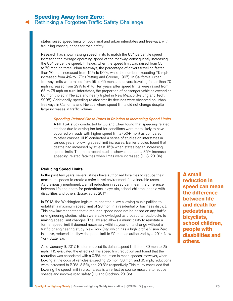states raised speed limits on both rural and urban interstates and freeways, with troubling consequences for road safety.

Research has shown raising speed limits to match the 85<sup>th</sup> percentile speed increases the average operating speed of the roadway, consequently increasing the  $85<sup>th</sup>$  percentile speed. In Texas, when the speed limit was raised from  $55$ to 70 mph on three urban freeways, the percentage of drivers traveling faster than 70 mph increased from 15% to 50%, while the number exceeding 75 mph increased from 4% to 17% (Retting and Greene, 1997). In California, urban freeway limits were raised from 55 to 65 mph, and drivers traveling faster than 70 mph increased from 29% to 41%. Ten years after speed limits were raised from 65 to 75 mph on rural interstates, the proportion of passenger vehicles exceeding 80 mph tripled in Nevada and nearly tripled in New Mexico (Retting and Teoh, 2008). Additionally, speeding-related fatality declines were observed on urban freeways in California and Nevada where speed limits did not change despite large increases in traffic volume.

#### *Speeding-Related Crash Rates in Relation to Increasing Speed Limits*

A NHTSA study conducted by Liu and Chen found that speeding-related crashes due to driving too fast for conditions were more likely to have occurred on roads with higher speed limits (50+ mph) as compared to other crashes. IIHS conducted a series of studies on interstates in various years following speed limit increases. Earlier studies found that deaths had increased by at least 15% when states began increasing speed limits. The more recent studies showed at least a 35% increase in speeding-related fatalities when limits were increased (IIHS, 2018b).

#### **Reducing Speed Limits**

In the past few years, several states have authorized localities to reduce their maximum speeds to create a safer travel environment for vulnerable users. As previously mentioned, a small reduction in speed can mean the difference between life and death for pedestrians, bicyclists, school children, people with disabilities and others (Essex et. al, 2017).

In 2013, the Washington legislature enacted a law allowing municipalities to establish a maximum speed limit of 20 mph in a residential or business district. This new law mandates that a reduced speed need not be based on any traffic or engineering studies, which were acknowledged as procedural roadblocks to making speed limit changes. The law also allows a municipality to reinstate a former speed limit if deemed necessary within a year of its change without a traffic or engineering study. New York City, which has a high-profile Vision Zero initiative, reduced its citywide speed limit to 25 mph as authorized by a 2014 New York State law.

As of January 9, 2017, Boston reduced its default speed limit from 30 mph to 25 mph. IIHS evaluated the effects of this speed limit reduction and found that the reduction was associated with a 0.3% reduction in mean speeds. However, when looking at the odds of vehicles exceeding 25 mph, 30 mph, and 35 mph, reductions were increased to 2.9%, 8.5%, and 29.3% respectively. This study concluded that lowering the speed limit in urban areas is an effective countermeasure to reduce speeds and improve road safety (Hu and Cicchino, 2018b).

**A small reduction in speed can mean the difference between life and death for pedestrians, bicyclists, school children, people with disabilities and others.**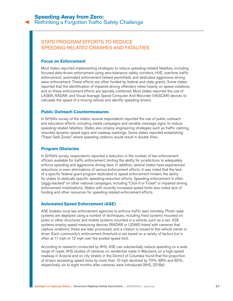## <span id="page-20-0"></span>STATE PROGRAM EFFORTS TO REDUCE SPEEDING-RELATED CRASHES AND FATALITIES

#### **Focus on Enforcement**

Most states reported implementing strategies to reduce speeding-related fatalities, including focused data-driven enforcement using zero-tolerance safety corridors, HVE, overtime traffic enforcement, automated enforcement (where permitted), and dedicated aggressive driving wave enforcement. These efforts are often funded by federal and state grants. Some states reported that the identification of impaired driving offenders relies heavily on speed violations, and so these enforcement efforts are typically combined. Most states reported the use of LASER, RADAR, and Visual Average Speed Computer And Recorder (VASCAR) devices to calculate the speed of a moving vehicle and identify speeding drivers.

#### **Public Outreach Countermeasures**

In GHSA's survey of the states, several respondents reported the use of public outreach and education efforts, including media campaigns and variable message signs, to reduce speeding-related fatalities. States also employ engineering strategies such as traffic calming, mounted dynamic speed signs and roadway markings. Some states reported establishing "Travel Safe Zones" where speeding citations would result in double fines.

#### **Program Obstacles**

In GHSA's survey, respondents reported a reduction in the number of law enforcement officers available for traffic enforcement, limiting the ability for jurisdictions to adequately enforce speeding and aggressive driving laws. In addition, several states have experienced reductions or even eliminations of various enforcement efforts. It was noted that the lack of a specific federal grant program dedicated to speed enforcement hinders the ability for states to dedicate specific speeding-reduction efforts. Speeding enforcement is often "piggy-backed" on other national campaigns, including "Click It or Ticket" or impaired driving enforcement mobilizations. States with recently increased speed limits also noted lack of funding and other resources for speeding-related enforcement efforts.

#### **Automated Speed Enforcement (ASE)**

ASE enables local law enforcement agencies to enforce traffic laws remotely. Photo radar systems are deployed using a number of techniques, including fixed systems mounted on poles or other structures and mobile systems mounted in a vehicle, such as a van. ASE systems employ speed measuring devices (RADAR or LIDAR) linked with cameras that capture violations; these are later processed, and a citation is issued to the vehicle owner or driver. Each community's enforcement threshold is set based on a variety of factors but is often at 11 mph or 12 mph over the posted speed limit.

According to research conducted by IIHS, ASE can substantially reduce speeding on a wide range of roads. IIHS studies of cameras on residential roads in Maryland, on a high-speed roadway in Arizona and on city streets in the District of Columbia found that the proportion of drivers exceeding speed limits by more than 10 mph declined by 70%, 88% and 82%, respectively, six to eight months after cameras were introduced (IIHS, 2018a).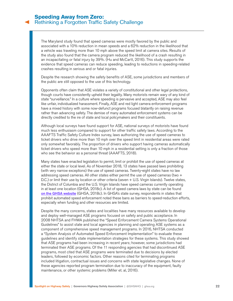The Maryland study found that speed cameras were mostly favored by the public and associated with a 10% reduction in mean speeds and a 62% reduction in the likelihood that a vehicle was traveling more than 10 mph above the speed limit at camera sites. Results of the study also found that the camera program reduced the likelihood of a crash resulting in an incapacitating or fatal injury by 39%. (Hu and McCartt, 2016). This study supports the evidence that speed cameras can reduce speeding, leading to reductions in speeding-related crashes resulting in serious and or fatal injuries.

Despite the research showing the safety benefits of ASE, some jurisdictions and members of the public are still opposed to the use of this technology.

Opponents often claim that ASE violates a variety of constitutional and other legal protections, though courts have consistently upheld their legality. Many motorists remain wary of any kind of state "surveillance." In a culture where speeding is pervasive and accepted, ASE may also feel like unfair, individualized harassment. Finally, ASE and red light camera enforcement programs have a mixed history with some now-defunct programs focused blatantly on raising revenue rather than advancing safety. The demise of many automated enforcement systems can be directly credited to the ire of state and local policymakers and their constituents.

Although local surveys have found support for ASE, national surveys of motorists have found much less enthusiasm compared to support for other traffic safety laws. According to the AAAFTS Traffic Safety Culture Index survey, laws authorizing the use of speed cameras to ticket drivers who drive more than 10 mph over the speed limit in residential areas were rated only somewhat favorably. The proportion of drivers who support having cameras automatically ticket drivers who speed more than 10 mph in a residential setting is only a fraction of those who see the behavior as a personal threat (AAAFTS, 2018).

Many states have enacted legislation to permit, limit or prohibit the use of speed cameras at either the state or local level. As of November 2018, 13 states have passed laws prohibiting (with very narrow exceptions) the use of speed cameras. Twenty-eight states have no law addressing speed cameras. All other states either permit the use of speed cameras (two  $+$ D.C.) or limit their use by location or other criteria (seven + U.S. Virgin Islands). Twelve states, the District of Columbia and the U.S. Virgin Islands have speed cameras currently operating in at least one location (GHSA, 2018c). A list of speed camera laws by state can be found on the GHSA website (GHSA, 2018c). In GHSA's state survey, respondents in states that prohibit automated speed enforcement noted these bans as barriers to speed-reduction efforts, especially when funding and other resources are limited.

Despite the many concerns, states and localities have many resources available to develop and deploy well-managed ASE programs focused on safety and public acceptance. In 2008 NHTSA and FHWA published the "Speed Enforcement Camera Systems Operational Guidelines" to assist state and local agencies in planning and operating ASE systems as a component of comprehensive speed management programs. In 2016, NHTSA conducted a "System Analysis of Automated Speed Enforcement Implementation" to evaluate these guidelines and identify state implementation strategies for these systems. This study showed that ASE programs had been increasing in recent years; however, some jurisdictions had terminated their ASE programs. Of the 11 responding agencies that had discontinued ASE programs, most cited that ASE programs were terminated due to decisions by elected leaders, followed by economic factors. Other reasons cited for terminating programs included litigation, contractual issues and concerns with state legislative changes. None of these agencies reported program termination due to inaccuracy of the equipment, faulty maintenance, or other systemic problems (Miller et. al, 2016).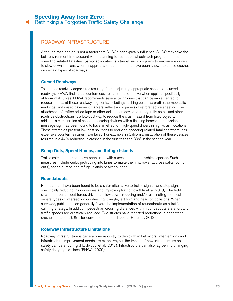## <span id="page-22-0"></span>ROADWAY INFRASTRUCTURE

Although road design is not a factor that SHSOs can typically influence, SHSO may take the built environment into account when planning for educational outreach programs to reduce speeding-related fatalities. Safety advocates can target such programs to encourage drivers to slow down in areas where inappropriate rates of speed have been known to cause crashes on certain types of roadways.

#### **Curved Roadways**

To address roadway departures resulting from misjudging appropriate speeds on curved roadways, FHWA finds that countermeasures are most effective when applied specifically at horizontal curves. FHWA recommends several techniques that can be implemented to reduce speeds at these roadway segments, including: flashing beacons; profile thermoplastic markings; and raised pavement markers, reflectors or panels of retroreflective sheeting. The attachment of reflectorized tape or other delineation device to trees, utility poles, and other roadside obstructions is a low-cost way to reduce the crash hazard from fixed objects. In addition, a combination of speed measuring devices with a flashing beacon and a variable message sign has been found to have an effect on high-speed drivers in high-crash locations. These strategies present low-cost solutions to reducing speeding-related fatalities where less expensive countermeasures have failed. For example, in California, installation of these devices resulted in a 44% reduction in crashes in the first year and 39% in the second year.

#### **Bump Outs, Speed Humps, and Refuge Islands**

Traffic calming methods have been used with success to reduce vehicle speeds. Such measures include curbs protruding into lanes to make them narrower at crosswalks (bump outs), speed humps and refuge islands between lanes.

#### **Roundabouts**

Roundabouts have been found to be a safer alternative to traffic signals and stop signs, specifically reducing injury crashes and improving traffic flow (Hu et. al, 2013). The tight circle of a roundabout forces drivers to slow down, reducing and/or eliminating the most severe types of intersection crashes: right-angle, left-turn and head-on collisions. When surveyed, public opinion generally favors the implementation of roundabouts as a traffic calming strategy. In addition, pedestrian crossing distances within roundabouts are short and traffic speeds are drastically reduced. Two studies have reported reductions in pedestrian crashes of about 75% after conversion to roundabouts (Hu et. al, 2013).

#### **Roadway Infrastructure Limitations**

Roadway infrastructure is generally more costly to deploy than behavioral interventions and infrastructure improvement needs are extensive, but the impact of new infrastructure on safety can be enduring (Hardwood, et al., 2017). Infrastructure can also lag behind changing safety design guidelines (FHWA, 2009).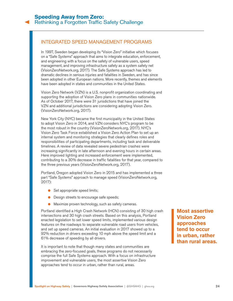## <span id="page-23-0"></span>INTEGRATED SPEED MANAGEMENT PROGRAMS

In 1997, Sweden began developing its "Vision Zero" initiative which focuses on a "Safe Systems" approach that aims to integrate education, enforcement, and engineering with a focus on the safety of vulnerable users, speed management, and improving infrastructure safety as a system safety net [\(VisionZeroNetwork.org,](http://VisionZeroNetwork.org) 2017). The Safe Systems approach has led to dramatic declines in serious injuries and fatalities in Sweden, and has since been adopted in other European nations. More recently, themes and elements have been adopted in states and communities in the United States.

Vision Zero Network (VZN) is a U.S. nonprofit organization coordinating and supporting the adoption of Vision Zero plans in communities nationwide. As of October 2017, there were 31 jurisdictions that have joined the VZN and additional jurisdictions are considering adopting Vision Zero. [\(VisionZeroNetwork.org](http://VisionZeroNetwork.org), 2017).

New York City (NYC) became the first municipality in the United States to adopt Vision Zero in 2014, and VZN considers NYC's program to be the most robust in the country ([VisionZeroNetwork.org,](http://VisionZeroNetwork.org) 2017). NYC's Vision Zero Task Force established a Vision Zero Action Plan to set up an internal system and monitoring strategies that clearly defines roles and responsibilities of participating departments, including task and deliverable timelines. A review of data revealed severe pedestrian crashes were increasing significantly in late afternoon and evening hours in certain areas. Here improved lighting and increased enforcement were implemented, contributing to a 30% decrease in traffic fatalities for that year, compared to the three previous years ([VisionZeroNetwork.org,](http://VisionZeroNetwork.org) 2017).

Portland, Oregon adopted Vision Zero in 2015 and has implemented a three part "Safe Systems" approach to manage speed ([VisionZeroNetwork.org](http://VisionZeroNetwork.org), 2017):

- Set appropriate speed limits;
- Design streets to encourage safe speeds;
- Maximize proven technology, such as safety cameras.

Portland identified a High Crash Network (HCN) consisting of 30 high crash intersections and 30 high crash streets. Based on this analysis, Portland enacted legislation to set lower speed limits, implemented various design features on the roadways to separate vulnerable road users from vehicles, and set up speed cameras. An initial evaluation in 2017 showed up to a 92% reduction in drivers exceeding 10 mph above the speed limit and a 61% decrease of speeding by all drivers.

It is important to note that though many states and communities are embracing the zero-focused goals, these programs do not necessarily comprise the full Safe Systems approach. With a focus on infrastructure improvement and vulnerable users, the most assertive Vision Zero approaches tend to occur in urban, rather than rural, areas.

**Most assertive Vision Zero approaches tend to occur in urban, rather than rural areas.**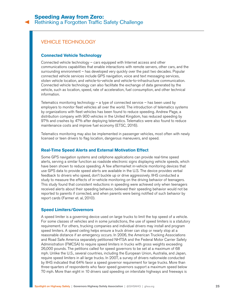## <span id="page-24-0"></span>**Speeding Away from Zero:**

[Rethinking a Forgotten Traffic Safety Challenge](#page-0-0)

## VEHICLE TECHNOLOGY

#### **Connected Vehicle Technology**

Connected vehicle technology – cars equipped with Internet access and other communications capabilities that enable interactions with remote servers, other cars, and the surrounding environment – has developed very quickly over the past two decades. Popular connected vehicle services include GPS navigation, voice and text messaging services, stolen vehicle location, and vehicle-to-vehicle and vehicle-to-infrastructure communication. Connected vehicle technology can also facilitate the exchange of data generated by the vehicle, such as location, speed, rate of acceleration, fuel consumption, and other technical information.

Telematics monitoring technology  $-$  a type of connected service  $-$  has been used by employers to monitor fleet vehicles all over the world. The introduction of telematics systems by organizations with fleet vehicles has been found to reduce speeding. Andrew Page, a distribution company with 900 vehicles in the United Kingdom, has reduced speeding by 97% and crashes by 47% after deploying telematics. Telematics were also found to reduce maintenance costs and improve fuel economy (ETSC, 2016).

Telematics monitoring may also be implemented in passenger vehicles, most often with newly licensed or teen drivers to flag location, dangerous maneuvers, and speed.

#### **Real-Time Speed Alerts and External Motivation Effect**

Some GPS navigation systems and cellphone applications can provide real-time speed alerts, serving a similar function as roadside electronic signs displaying vehicle speeds, which have been shown to reduce speeding. A few aftermarket in-vehicle monitoring devices that use GPS data to provide speed alerts are available in the U.S. The device provides verbal feedback to drivers who speed, don't buckle up or drive aggressively. IIHS conducted a study to measure the effects of in-vehicle monitoring on the driving behavior of teenagers. This study found that consistent reductions in speeding were achieved only when teenagers received alerts about their speeding behavior, believed their speeding behavior would not be reported to parents if corrected, and when parents were being notified of such behavior by report cards (Farmer et. al, 2010).

#### **Speed Limiters/Governors**

A speed limiter is a governing device used on large trucks to limit the top speed of a vehicle. For some classes of vehicles and in some jurisdictions, the use of speed limiters is a statutory requirement. For others, trucking companies and individual drivers may install and program speed limiters. A speed ceiling helps ensure a truck driver can stop or nearly stop at a reasonable distance if an emergency occurs. In 2006, the American Trucking Associations and Road Safe America separately petitioned NHTSA and the Federal Motor Carrier Safety Administration (FMCSA) to require speed limiters in trucks with gross weights exceeding 26,000 pounds. The petitions called for speed governors to be set at a maximum of 68 mph. Unlike the U.S., several countries, including the European Union, Australia, and Japan, require speed limiters in all large trucks. In 2007, a survey of drivers nationwide conducted by IIHS indicated that 64% favor a speed governor requirement for large trucks. More than three-quarters of respondents who favor speed governors support a maximum speed below 70 mph. More than eight in 10 drivers said speeding on interstate highways and freeways is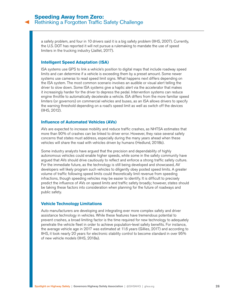a safety problem, and four in 10 drivers said it is a big safety problem (IIHS, 2007). Currently, the U.S. DOT has reported it will not pursue a rulemaking to mandate the use of speed limiters in the trucking industry (Jaillet, 2017).

#### **Intelligent Speed Adaptation (ISA)**

ISA systems use GPS to link a vehicle's position to digital maps that include roadway speed limits and can determine if a vehicle is exceeding them by a preset amount. Some newer systems use cameras to read speed limit signs. What happens next differs depending on the ISA system. The most common scenario involves an audible or visual alert telling the driver to slow down. Some ISA systems give a haptic alert via the accelerator that makes it increasingly harder for the driver to depress the pedal. Intervention systems can reduce engine throttle to automatically decelerate a vehicle. ISA differs from the more familiar speed limiters (or governors) on commercial vehicles and buses, as an ISA allows drivers to specify the warning threshold depending on a road's speed limit as well as switch off the devices (IIHS, 2012).

#### **Influence of Automated Vehicles (AVs)**

AVs are expected to increase mobility and reduce traffic crashes, as NHTSA estimates that more than 90% of crashes can be linked to driver error. However, they raise several safety concerns that states must address, especially during the many years ahead when these vehicles will share the road with vehicles driven by humans (Hedlund, 2018b).

Some industry analysts have argued that the precision and dependability of highly autonomous vehicles could enable higher speeds, while some in the safety community have argued that AVs should drive cautiously to reflect and enforce a strong traffic safety culture. For the immediate future, as the technology is still being developed and showcased, AV developers will likely program such vehicles to diligently obey posted speed limits. A greater volume of traffic following speed limits could theoretically limit revenue from speeding infractions, though speeding vehicles may be easier to identify. It is difficult to precisely predict the influence of AVs on speed limits and traffic safety broadly; however, states should be taking these factors into consideration when planning for the future of roadways and public safety.

#### **Vehicle Technology Limitations**

Auto manufacturers are developing and integrating ever more complex safety and driver assistance technology in vehicles. While these features have tremendous potential to prevent crashes, a broad limiting factor is the time required for new technology to adequately penetrate the vehicle fleet in order to achieve population-level safety benefits. For instance, the average vehicle age in 2017 was estimated at 11.6 years (Gillies, 2017) and according to IIHS, it took nearly 20 years for electronic stability control to become standard in over 95% of new vehicle models (IIHS, 2018a).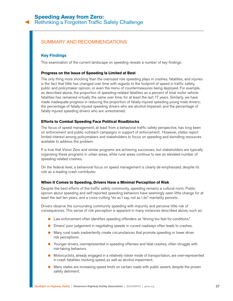## <span id="page-26-0"></span>**Speeding Away from Zero:**

[Rethinking a Forgotten Traffic Safety Challenge](#page-0-0)

## SUMMARY AND RECOMMENDATIONS

### **Key Findings**

This examination of the current landscape on speeding reveals a number of key findings.

#### **Progress on the Issue of Speeding Is Limited at Best**

The only thing more shocking than the oversized role speeding plays in crashes, fatalities, and injuries is the fact that little has changed over time with regards to the footprint of speed in traffic safety, public and policymaker opinion, or even the menu of countermeasures being deployed. For example, as described above, the proportion of speeding-related fatalities as a percent of total motor vehicle fatalities has remained virtually the same over time, for at least the last 17 years. Similarly, we have made inadequate progress in reducing the proportion of fatally-injured speeding young male drivers; the percentage of fatally-injured speeding drivers who are alcohol-impaired; and the percentage of fatally-injured speeding drivers who are unrestrained.

#### **Efforts to Combat Speeding Face Political Roadblocks**

The focus of speed management, at least from a behavioral traffic safety perspective, has long been on enforcement and public outreach campaigns in support of enforcement. However, states report limited interest among policymakers and stakeholders to focus on speeding and dwindling resources available to address the problem.

It is true that Vision Zero and similar programs are achieving successes, but stakeholders are typically organizing these programs in urban areas, while rural areas continue to see an elevated number of speeding-related crashes.

On the federal level, a behavioral focus on speed management is clearly de-emphasized, despite its role as a leading crash contributor.

#### **When It Comes to Speeding, Drivers Have a Minimal Perception of Risk**

Despite the best efforts of the traffic safety community, speeding remains a cultural norm. Public opinion about speeding and self-reported speeding behaviors have seemingly seen little change for at least the last ten years, and a cross-cutting "do as I say, not as I do" mentality persists.

Drivers observe the surrounding community speeding with impunity and perceive little risk of consequences. This sense of risk perception is apparent in many instances described above, such as:

- Law enforcement often identifies speeding offenders as "driving too fast for conditions."
- Drivers' poor judgement in negotiating speeds in curved roadways often leads to crashes.
- Many rural roads inadvertently create circumstances that promote speeding or lower driver risk perceptions.
- Younger drivers, overrepresented in speeding offenses and fatal crashes, often struggle with risk-taking behaviors.
- Motorcyclists, already engaged in a relatively riskier mode of transportation, are over-represented in crash fatalities involving speed, as well as alcohol impairment.
- Many states are increasing speed limits on certain roads with public assent, despite the proven safety detriment.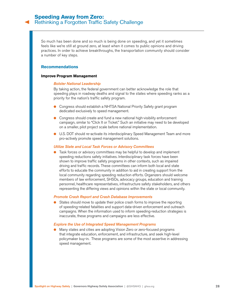So much has been done and so much is being done on speeding, and yet it sometimes feels like we're still at ground zero, at least when it comes to public opinions and driving practices. In order to achieve breakthroughs, the transportation community should consider a number of key steps.

#### **Recommendations**

#### **Improve Program Management**

#### *Bolster National Leadership*

By taking action, the federal government can better acknowledge the role that speeding plays in roadway deaths and signal to the states where speeding ranks as a priority for the nation's traffic safety program.

- Congress should establish a NHTSA National Priority Safety grant program dedicated exclusively to speed management.
- Congress should create and fund a new national high-visibility enforcement campaign, similar to "Click It or Ticket." Such an initiative may need to be developed on a smaller, pilot project scale before national implementation.
- U.S. DOT should re-activate its interdisciplinary Speed Management Team and more pro-actively promote speed management solutions.

#### *Utilize State and Local Task Forces or Advisory Committees*

Task forces or advisory committees may be helpful to develop and implement speeding reductions safety initiatives. Interdisciplinary task forces have been shown to improve traffic safety programs in other contexts, such as impaired driving and traffic records. These committees can inform both local and state efforts to educate the community in addition to aid in creating support from the local community regarding speeding reduction efforts. Organizers should welcome members of law enforcement, SHSOs, advocacy groups, education and training personnel, healthcare representatives, infrastructure safety stakeholders, and others representing the differing views and opinions within the state or local community.

#### *Promote Crash Report and Crash Database Improvements*

● States should move to update their police crash forms to improve the reporting of speeding-related fatalities and support data-driven enforcement and outreach campaigns. When the information used to inform speeding-reduction strategies is inaccurate, these programs and campaigns are less effective.

#### *Explore the Use of Integrated Speed Management Programs*

● Many states and cities are adopting Vision Zero or zero-focused programs that integrate education, enforcement, and infrastructure, and seek high-level policymaker buy-in. These programs are some of the most assertive in addressing speed management.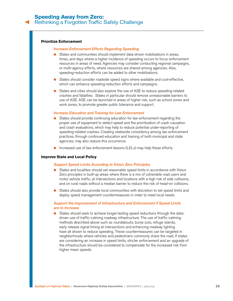#### **Prioritize Enforcement**

#### *Increase Enforcement Efforts Regarding Speeding*

- States and communities should implement data-driven mobilizations in areas, times, and days where a higher incidence of speeding occurs to focus enforcement resources in areas of need. Agencies may consider conducting regional campaigns, or multi-agency efforts, where resources are shared among agencies. Also, speeding-reduction efforts can be added to other mobilizations.
- States should consider roadside speed signs where available and cost-effective, which can enhance speeding-reduction efforts and campaigns.
- States and cities should also explore the use of ASE to reduce speeding-related crashes and fatalities. States in particular should remove unreasonable barriers to use of ASE. ASE can be launched in areas of higher risk, such as school zones and work zones, to promote greater public tolerance and support.

#### *Increase Education and Training for Law Enforcement*

- States should provide continuing education for law enforcement regarding the proper use of equipment to detect speed and the prioritization of crash causation and crash evaluations, which may help to reduce potential under-reporting of speeding-related crashes. Creating statewide consistency among law enforcement practices, through continued education and training of both municipal and state agencies, may also reduce this occurrence.
- Increased use of law enforcement liaisons (LELs) may help these efforts.

#### **Improve State and Local Policy**

#### *Support Speed Limits According to Vision Zero Principles*

- States and localities should set reasonable speed limits in accordance with Vision Zero principles in built-up areas where there is a mix of vulnerable road users and motor vehicle traffic, at intersections and locations with a high risk of side collisions, and on rural roads without a median barrier to reduce the risk of head-on collisions.
- States should also provide local communities with discretion to set speed limits and deploy speed management countermeasures in order to meet local needs.

#### *Support the Improvement of Infrastructure and Enforcement if Speed Limits are to Increase*

● States should seek to achieve longer-lasting speed reductions through the datadriven use of traffic-calming roadway infrastructure. The use of traffic-calming methods described above such as roundabouts, bump outs, refuge islands, early release signal timing at intersections and enhancing roadway lighting have all shown to reduce speeding. These countermeasures can be targeted in neighborhoods where vehicles and pedestrians commonly share the road. If states are considering an increase in speed limits, stricter enforcement and an upgrade of the infrastructure should be considered to compensate for the increased risk from higher mean speeds.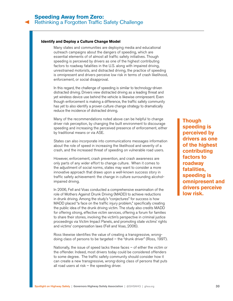#### **Identify and Deploy a Culture Change Model**

Many states and communities are deploying media and educational outreach campaigns about the dangers of speeding, which are essential elements of of almost all traffic safety initiatives. Though speeding is perceived by drivers as one of the highest contributing factors to roadway fatalities in the U.S. along with impaired driving, unrestrained motorists, and distracted driving, the practice of speeding is omnipresent and drivers perceive low risk in terms of crash likelihood, enforcement, or social disapproval.

In this regard, the challenge of speeding is similar to technology-driven distracted driving. Drivers view distracted driving as a leading threat and yet wireless device use behind the vehicle is likewise omnipresent. Even though enforcement is making a difference, the traffic safety community has yet to also identify a proven culture change strategy to dramatically reduce the incidence of distracted driving.

Many of the recommendations noted above can be helpful to change driver risk perception, by changing the built environment to discourage speeding and increasing the perceived presence of enforcement, either by traditional means or via ASE.

States can also incorporate into communications messages information about the role of speed in increasing the likelihood and severity of a crash, and the increased threat of speeding on vulnerable road users.

However, enforcement, crash prevention, and crash awareness are only parts of any wider effort to change culture. When it comes to the adjustment of social norms, states may want to consider a more innovative approach that draws upon a well-known success story in traffic safety achievement: the change in culture surrounding alcoholimpaired driving.

In 2006, Fell and Voas conducted a comprehensive examination of the role of Mothers Against Drunk Driving (MADD) to achieve reductions in drunk driving. Among the study's "conjectures" for success is how MADD placed "a face on the traffic injury problem," specifically creating the public idea of the drunk driving victim. The study also credits MADD for offering strong, effective victim services, offering a forum for families to share their stories, involving the victim's perspective in criminal justice proceedings via Victim Impact Panels, and promoting state victims' rights and victims' compensation laws (Fell and Voas, 2006).

Ross likewise identifies the value of creating a transgressive, wrongdoing class of persons to be targeted – the "drunk driver" (Ross, 1997).

Nationally, the issue of speed lacks these faces – of either the victim or the offender. Indeed, most drivers today could be considered offenders to some degree. The traffic safety community should consider how it can create a new transgressive, wrong-doing class of persons that puts all road users at risk  $-$  the speeding driver.

**Though speeding is perceived by drivers as one of the highest contributing factors to roadway fatalities, speeding is omnipresent and drivers perceive low risk.**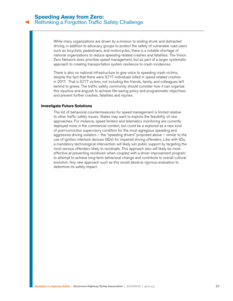While many organizations are driven by a mission to ending drunk and distracted driving, in addition to advocacy groups to protect the safety of vulnerable road users such as bicyclists, pedestrians, and motorcycles, there is a notable shortage of national organizations to reduce speeding-related crashes and fatalities. The Vision Zero Network does prioritize speed management, but as part of a larger systematic approach to creating transportation system resilience to crash incidences.

There is also no national infrastructure to give voice to speeding crash victims, despite the fact that there were 9,717 individuals killed in speed related crashes in 2017. That is 9,717 victims, not including the friends, family, and colleagues left behind to grieve. The traffic safety community should consider how it can organize this injustice and anguish to achieve life-saving policy and programmatic objectives and prevent further crashes, fatalities and injuries.

#### **Investigate Future Solutions**

The list of behavioral countermeasures for speed management is limited relative to other traffic safety issues. States may want to explore the feasibility of new approaches. For instance, speed limiters and telematics monitoring are currently deployed more in the commercial context, but could be a explored as a new kind of post-conviction supervisory condition for the most egregious speeding and aggressive driving violators  $-$  the "speeding drivers" proposed above  $-$  similar to the use of ignition interlock devices (IIDs) for impaired driving offenders. Like with IIDs, a mandatory technological intervention will likely win public support by targeting the most serious offenders likely to recidivate. This approach also will likely be more effective at preventing recidivism when coupled with a driver improvement program to attempt to achieve long-term behavioral change and contribute to overall cultural evolution. Any new approach such as this would deserve rigorous evaluation to determine its safety impact.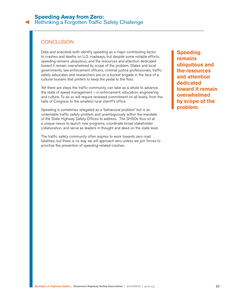## <span id="page-31-0"></span>**CONCLUSION**

Data and anecdote both identify speeding as a major contributing factor to crashes and deaths on U.S. roadways, but despite some notable efforts, speeding remains ubiquitous, and the resources and attention dedicated toward it remain overwhelmed by scope of the problem. States and local governments, law enforcement officers, criminal justice professionals, traffic safety advocates and researchers are on a bucket brigade in the face of a cultural tsunami that prefers to keep the pedal to the floor.

Yet there are steps the traffic community can take as a whole to advance the state of speed management – in enforcement, education, engineering and culture. To do so will require renewed commitment on all levels, from the halls of Congress to the smallest rural sheriff's office.

Speeding is sometimes relegated as a "behavioral problem" but is an undeniable traffic safety problem and unambiguously within the mandate of the State Highway Safety Offices to address. The SHSOs thus sit at a unique nexus to launch new programs, coordinate broad stakeholder collaboration, and serve as leaders in thought and deed on the state level.

The traffic safety community often aspires to work towards zero road fatalities, but there is no way we will approach zero unless we join forces to prioritize the prevention of speeding-related crashes.

**Speeding remains ubiquitous and the resources and attention dedicated toward it remain overwhelmed by scope of the problem.**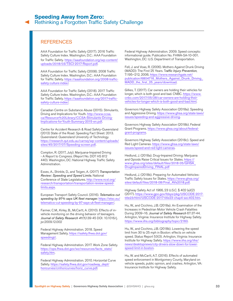## <span id="page-32-0"></span>**REFERENCES**

AAA Foundation for Traffic Safety (2017). 2016 Traffic Safety Culture Index. Washington, D.C.: AAA Foundation for Traffic Safety. [https://aaafoundation.org/wp-content/](https://aaafoundation.org/wp-content/uploads/2018/03/TSCI-2017-Report.pdf) [uploads/2018/03/TSCI-2017-Report.pdf](https://aaafoundation.org/wp-content/uploads/2018/03/TSCI-2017-Report.pdf).

AAA Foundation for Traffic Safety (2008). 2008 Traffic Safety Culture Index. Washington, D.C.: AAA Foundation for Traffic Safety. [https://aaafoundation.org/2008-traffic](https://aaafoundation.org/2008-traffic-safety-culture-index/)[safety-culture-index/](https://aaafoundation.org/2008-traffic-safety-culture-index/).

AAA Foundation for Traffic Safety (2018). 2017 Traffic Safety Culture Index. Washington, D.C.: AAA Foundation for Traffic Safety. [https://aaafoundation.org/2017-traffic](https://aaafoundation.org/2017-traffic-safety-culture-index/)[safety-culture-index/](https://aaafoundation.org/2017-traffic-safety-culture-index/).

Canadian Centre on Substance Abuse (2015). Stimulants, Driving and Implications for Youth. [http://www.ccsa.](http://www.ccsa.ca/Resource%20Library/CCSA-Stimulants-Driving-Implications-for-Youth-Summary-2015-en.pdf) [ca/Resource%20Library/CCSA-Stimulants-Driving-](http://www.ccsa.ca/Resource%20Library/CCSA-Stimulants-Driving-Implications-for-Youth-Summary-2015-en.pdf)[Implications-for-Youth-Summary-2015-en.pdf](http://www.ccsa.ca/Resource%20Library/CCSA-Stimulants-Driving-Implications-for-Youth-Summary-2015-en.pdf).

Centre for Accident Research & Road Safety-Queensland (2013) State of the Road: Speeding Fact Sheet: 2013. Queensland: Queensland University of Technology. [https://research.qut.edu.au/carrsq/wp-content/uploads/](https://research.qut.edu.au/carrsq/wp-content/uploads/sites/45/2017/07/Speeding-screen.pdf) [sites/45/2017/07/Speeding-screen.pdf](https://research.qut.edu.au/carrsq/wp-content/uploads/sites/45/2017/07/Speeding-screen.pdf).

Compton, R. (2017, July). Marijuana-Impaired Driving - A Report to Congress. (Report No. DOT HS 812 440). Washington, DC: National Highway Traffic Safety Administration.

Essex, A., Shinkle, D., and Teigen, A. (2017) *Transportation Review: Speeding and Speed Limits*. National Conference of State Legislatures. [http://www.ncsl.org/](http://www.ncsl.org/research/transportation/transportation-review-speed-limits.aspx) [research/transportation/transportation-review-speed](http://www.ncsl.org/research/transportation/transportation-review-speed-limits.aspx)[limits.aspx](http://www.ncsl.org/research/transportation/transportation-review-speed-limits.aspx).

European Transport Safety Council. (2016). *Telematics cut speeding by 97% says UK fleet manager*. https://etsc.eu/ telematics-cut-speeding-by-97-says-uk-fleet-manager/.

Farmer, C.M., Kirley, B., McCartt, A. (2010). Effects of invehicle monitoring on the driving behavior of teenagers. *Journal of Safety Research 41(1)*:39-45 DOI: 10.1016/j. jsr.2009.12.002

Federal Highway Administration. 2018. Speed Management Safety. [https://safety.fhwa.dot.gov/](https://safety.fhwa.dot.gov/speedmgt/) [speedmgt/](https://safety.fhwa.dot.gov/speedmgt/).

Federal Highway Administration. 2017. Work Zone Safety. [https://ops.fhwa.dot.gov/wz/resources/facts\\_stats/](https://ops.fhwa.dot.gov/wz/resources/facts_stats/safety.htm) [safety.htm](https://ops.fhwa.dot.gov/wz/resources/facts_stats/safety.htm).

Federal Highway Administration. 2010. Horizontal Curve Safety. [https://safety.fhwa.dot.gov/roadway\\_dept/](https://safety.fhwa.dot.gov/roadway_dept/horicurves/cmhoricurves/horiz_curve.pdf) [horicurves/cmhoricurves/horiz\\_curve.pdf](https://safety.fhwa.dot.gov/roadway_dept/horicurves/cmhoricurves/horiz_curve.pdf).

Federal Highway Administration. 2009. Speed concepts: informational guide. Publication No. FHWA-SA-10-001. Washington, DC: U.S. Department of Transportation.

Fell, J. and Voas, R. (2006). Mothers Against Drunk Driving (MADD): The First 25 Years. T*raffic Injury Prevention*, 7:195–212, 2006. [https://www.researchgate.net/](https://www.researchgate.net/publication/6804716_Mothers_Against_Drunk_Driving_MADD_the_first_25_years/download) [publication/6804716\\_Mothers\\_Against\\_Drunk\\_Driving\\_](https://www.researchgate.net/publication/6804716_Mothers_Against_Drunk_Driving_MADD_the_first_25_years/download) [MADD\\_the\\_first\\_25\\_years/download](https://www.researchgate.net/publication/6804716_Mothers_Against_Drunk_Driving_MADD_the_first_25_years/download).

Gillies, T. (2017). Car owners are holding their vehicles for longer, which is both good and bad. CNBC. [https://www.](https://www.cnbc.com/2017/05/28/car-owners-are-holding-their-vehicles-for-longer-which-is-both-good-and-bad.html) [cnbc.com/2017/05/28/car-owners-are-holding-their](https://www.cnbc.com/2017/05/28/car-owners-are-holding-their-vehicles-for-longer-which-is-both-good-and-bad.html)[vehicles-for-longer-which-is-both-good-and-bad.html](https://www.cnbc.com/2017/05/28/car-owners-are-holding-their-vehicles-for-longer-which-is-both-good-and-bad.html).

Governors Highway Safety Association (2018a). Speeding and Aggressive Driving. https://www.ghsa.org/state-laws/ issues/speeding-and-aggressive-driving.

Governors Highway Safety Association (2018b). Federal Grant Programs. [https://www.ghsa.org/about/federal](https://www.ghsa.org/about/federal-grant-programs)[grant-programs](https://www.ghsa.org/about/federal-grant-programs).

Governors Highway Safety Association (2018c). Speed and Red Light Cameras. https://www.ghsa.org/state-laws/ issues/speed-and-red-light-cameras.

Hedlund, J. (2018a). Drug-Impaired Driving: Marijuana and Opioids Raise Critical Issues for States. [https://](https://www.ghsa.org/sites/default/files/2018-05/GHSA_DrugImpairedDriving_FINAL.pdf) [www.ghsa.org/sites/default/files/2018-05/GHSA\\_](https://www.ghsa.org/sites/default/files/2018-05/GHSA_DrugImpairedDriving_FINAL.pdf) [DrugImpairedDriving\\_FINAL.pdf](https://www.ghsa.org/sites/default/files/2018-05/GHSA_DrugImpairedDriving_FINAL.pdf)

Hedlund, J. (2018b). Preparing for Automated Vehicles: Traffic Safety Issues for States. [https://www.ghsa.org/](https://www.ghsa.org/sites/default/files/2018-08/Final_AVs2018.pdf) [sites/default/files/2018-08/Final\\_AVs2018.pdf](https://www.ghsa.org/sites/default/files/2018-08/Final_AVs2018.pdf).

Highway Safety Act of 1966, 23 U.S.C. § 402 (a)(2) (2017). [https://www.gpo.gov/fdsys/pkg/USCODE-2017](https://www.gpo.gov/fdsys/pkg/USCODE-2017-title23/html/USCODE-2017-title23-chap4-sec402.htm) [title23/html/USCODE-2017-title23-chap4-sec402.htm](https://www.gpo.gov/fdsys/pkg/USCODE-2017-title23/html/USCODE-2017-title23-chap4-sec402.htm).

Hu, W., and Cicchino, J.B. (2018a). An Examination of the Increases in Pedestrian Motor Vehicle Crash Fatalities During 2009–16. *Journal of Safety Research* 67:37-44. Arlington, Virginia: Insurance Institute for Highway Safety. <https://www.iihs.org/bibliography/topic/2160>.

Hu, W., and Cicchino, J.B. (2018b). Lowering the speed limit from 30 to 25 mph in Boston: effects on vehicle speed. Status Report 53(3). Arlington, Virginia: Insurance Institute for Highway Safety. https://www.iihs.org/iihs/ news/desktopnews/city-drivers-slow-down-for-lowerspeed-limit-in-boston.

Hu, W. and McCartt, A.T. (2016). Effects of automated speed enforcement in Montgomery County, Maryland on vehicle speeds, public opinion, and crashes. Arlington, VA: Insurance Institute for Highway Safety.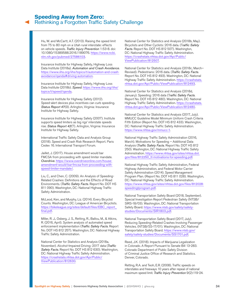## **Speeding Away from Zero:** [Rethinking a Forgotten Traffic Safety Challenge](#page-0-0)

Hu, W. and McCartt, A.T. (2013). Raising the speed limit from 75 to 80 mph on a Utah rural interstate: effects on vehicle speeds. *Traffic Injury Prevention* 1:53-8. doi: 10.1080/15389588.2016.1189076. [https://www.ncbi.](https://www.ncbi.nlm.nih.gov/pubmed/27586103) [nlm.nih.gov/pubmed/27586103](https://www.ncbi.nlm.nih.gov/pubmed/27586103).

Insurance Institute for Highway Safety, Highway Loss Data Institute (2018a). *Automation and Crash Avoidance*. [https://www.iihs.org/iihs/topics/t/automation-and-crash](https://www.iihs.org/iihs/topics/t/automation-and-crash-avoidance/qanda#driving-automation)[avoidance/qanda#driving-automation](https://www.iihs.org/iihs/topics/t/automation-and-crash-avoidance/qanda#driving-automation).

Insurance Institute for Highway Safety, Highway Loss Data Institute (2018b). *Speed*. [https://www.iihs.org/iihs/](https://www.iihs.org/iihs/topics/t/speed/qanda) [topics/t/speed/qanda](https://www.iihs.org/iihs/topics/t/speed/qanda).

Insurance Institute for Highway Safety (2012). Speed-alert devices plus incentives can curb speeding. *Status Report 47*(9). Arlington, Virginia: Insurance Institute for Highway Safety.

Insurance Institute for Highway Safety (2007). Institute supports speed limiters as big rigs' interstate speeds rise. *Status Report 42*(7). Arlington, Virginia: Insurance Institute for Highway Safety.

International Traffic Safety Data and Analysis Group (2018). Speed and Crash Risk Research Report. Paris Cedex 16. International Transport Forum.

Jaillet, J. (2017). House amendment would bar FMCSA from proceeding with speed limiter mandate. *Overdrive*. [https://www.overdriveonline.com/house](https://www.overdriveonline.com/house-amendment-would-bar-fmcsa-from-proceeding-with-speed-limiter-mandate/)[amendment-would-bar-fmcsa-from-proceeding-with](https://www.overdriveonline.com/house-amendment-would-bar-fmcsa-from-proceeding-with-speed-limiter-mandate/)[speed-limiter-mandate/](https://www.overdriveonline.com/house-amendment-would-bar-fmcsa-from-proceeding-with-speed-limiter-mandate/).

Liu, C., and Chen, C. (2009). An Analysis of Speeding-Related Crashes: Definitions and the Effects of Road Environments. (*Traffic Safety Facts*. Report No. DOT HS 811 090). Washington, DC: National Highway Traffic Safety Administration.

McLeod, Ken, and Murphy, Liz. (2014). Every Bicyclist Counts. Washington, DC: League of American Bicyclists. [https://bikeleague.org/sites/default/files/EBC\\_report\\_](https://bikeleague.org/sites/default/files/EBC_report_final.pdf) [final.pdf](https://bikeleague.org/sites/default/files/EBC_report_final.pdf).

Miller, R. J., Osberg, J. S., Retting, R., Ballou, M., & Atkins, R. (2016, April). System analysis of automated speed enforcement implementation (*Traffic Safety Facts*. Report No. DOT HS 812 257). Washington, DC: National Highway Traffic Safety Administration.

National Center for Statistics and Analysis (2018a, November). Alcohol-Impaired Driving: 2017 data (*Traffic Safety Facts*. Report No. DOT HS 812 630). Washington, DC: National Highway Traffic Safety Administration. [https://crashstats.nhtsa.dot.gov/Api/Public/](https://crashstats.nhtsa.dot.gov/Api/Public/ViewPublication/812630) [ViewPublication/812630](https://crashstats.nhtsa.dot.gov/Api/Public/ViewPublication/812630).

National Center for Statistics and Analysis (2018b, May). Bicyclists and Other Cyclists: 2016 data. (T*raffic Safety Facts*. Report No. DOT HS 812 507). Washington, DC: National Highway Traffic Safety Administration. [https://crashstats.nhtsa.dot.gov/Api/Public/](https://crashstats.nhtsa.dot.gov/Api/Public/ViewPublication/812507) [ViewPublication/812507](https://crashstats.nhtsa.dot.gov/Api/Public/ViewPublication/812507).

National Center for Statistics and Analysis (2018c, March– Revised). Pedestrians: 2016 data. (*Traffic Safety Facts*. Report No. DOT HS 812 493). Washington, DC: National Highway Traffic Safety Administration. [https://crashstats.](https://crashstats.nhtsa.dot.gov/Api/Public/ViewPublication/812493) [nhtsa.dot.gov/Api/Public/ViewPublication/812493](https://crashstats.nhtsa.dot.gov/Api/Public/ViewPublication/812493).

National Center for Statistics and Analysis (2018d, January). Speeding: 2016 data (T*raffic Safety Facts*. Report No. DOT HS 812 480). Washington, DC: National Highway Traffic Safety Administration. [https://crashstats.](https://crashstats.nhtsa.dot.gov/Api/Public/ViewPublication/812480) [nhtsa.dot.gov/Api/Public/ViewPublication/812480](https://crashstats.nhtsa.dot.gov/Api/Public/ViewPublication/812480).

National Center for Statistics and Analysis (2017, July). MMUCC Guideline Model Minimum Uniform Crash Criteria Fifth Edition (Report No. DOT HS 812 433). Washington, DC: National Highway Traffic Safety Administration. https://www.nhtsa.gov/mmucc-1.

National Highway Traffic Safety Administration (2016, March). Motivations for Speeding – Additional Data Analysis (*Traffic Safety Facts*. Report No. DOT HS 812 250). Washington, DC: National Highway Traffic Safety Administration. [https://www.nhtsa.gov/sites/nhtsa.dot.](https://www.nhtsa.gov/sites/nhtsa.dot.gov/files/812250_tt-motivations-for-speeding.pdf) [gov/files/812250\\_tt-motivations-for-speeding.pdf](https://www.nhtsa.gov/sites/nhtsa.dot.gov/files/812250_tt-motivations-for-speeding.pdf).

National Highway Traffic Safety Administration, Federal Highway Administration, and Federal Motor Carrier Safety Administration (2014). Speed Management Program Plan. (Report No. DOT HS 811 028). Washington, DC: National Highway Traffic Safety Administration. [https://www.nhtsa.gov/sites/nhtsa.dot.gov/files/812028](https://www.nhtsa.gov/sites/nhtsa.dot.gov/files/812028-speedmgtprogram.pdf) [speedmgtprogram.pdf](https://www.nhtsa.gov/sites/nhtsa.dot.gov/files/812028-speedmgtprogram.pdf).

National Transportation Safety Board (2018, September). Special Investigation Report Pedestrian Safety (NTSB/ SIRS-18/03). Washington, DC: National Transportation Safety Board. [https://www.ntsb.gov/safety/safety](https://www.ntsb.gov/safety/safety-studies/Documents/SIR1803.pdf)[studies/Documents/SIR1803.pdf](https://www.ntsb.gov/safety/safety-studies/Documents/SIR1803.pdf).

National Transportation Safety Board (2017, July). Reducing Speeding-Related Crashes Involving Passenger Vehicles. (NTSB/SS-17/01). Washington, DC: National Transportation Safety Board. [https://www.ntsb.gov/](https://www.ntsb.gov/safety/safety-studies/Documents/SS1701.pdf) [safety/safety-studies/Documents/SS1701.pdf](https://www.ntsb.gov/safety/safety-studies/Documents/SS1701.pdf).

Reed, J.K. (2018). Impacts of Marijuana Legalization in Colorado. A Report Pursuant to Senate Bill 13-283. Colorado Department of Public Safety Division of Criminal Justice Office of Research and Statistics. Denver, Colorado.

Retting, R.A. and Teoh, E.R. (2008). Traffic speeds on interstates and freeways 10 years after repeal of national maximum speed limit. *Traffic Injury Prevention* 9(2):119-24.